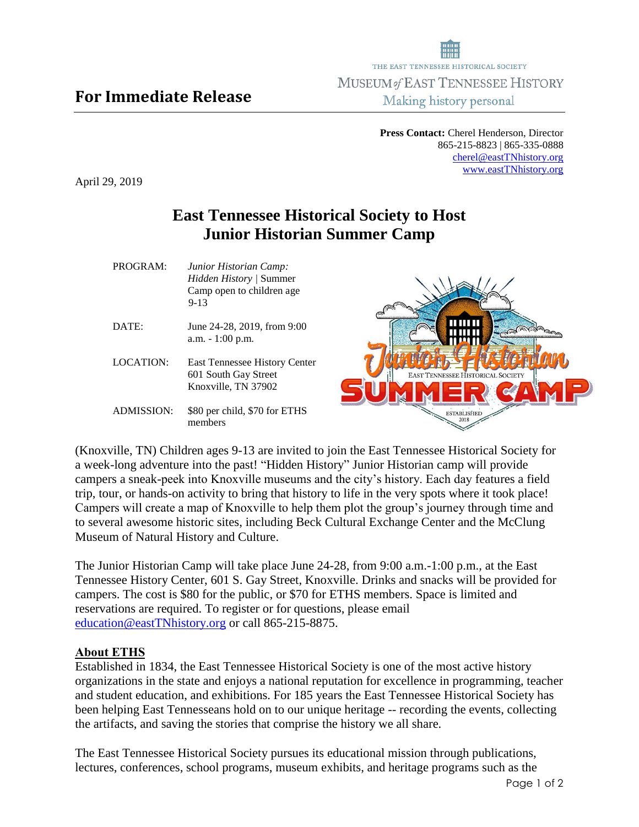**Press Contact:** Cherel Henderson, Director 865-215-8823 | 865-335-0888 [cherel@eastTNhistory.org](mailto:cherel@eastTNhistory.org) [www.eastTNhistory.org](http://www.easttnhistory.org/)

April 29, 2019

## **East Tennessee Historical Society to Host Junior Historian Summer Camp**

|           | Camp open to children age.<br>$9 - 13$                                              |  |
|-----------|-------------------------------------------------------------------------------------|--|
| DATE:     | June 24-28, 2019, from 9:00<br>$a.m. - 1:00 p.m.$                                   |  |
| LOCATION: | <b>East Tennessee History Center</b><br>601 South Gay Street<br>Knoxville, TN 37902 |  |

*Hidden History |* Summer

PROGRAM: *Junior Historian Camp:* 

ADMISSION: \$80 per child, \$70 for ETHS members

(Knoxville, TN) Children ages 9-13 are invited to join the East Tennessee Historical Society for a week-long adventure into the past! "Hidden History" Junior Historian camp will provide campers a sneak-peek into Knoxville museums and the city's history. Each day features a field trip, tour, or hands-on activity to bring that history to life in the very spots where it took place! Campers will create a map of Knoxville to help them plot the group's journey through time and to several awesome historic sites, including Beck Cultural Exchange Center and the McClung Museum of Natural History and Culture.

The Junior Historian Camp will take place June 24-28, from 9:00 a.m.-1:00 p.m., at the East Tennessee History Center, 601 S. Gay Street, Knoxville. Drinks and snacks will be provided for campers. The cost is \$80 for the public, or \$70 for ETHS members. Space is limited and reservations are required. To register or for questions, please email [education@eastTNhistory.org](mailto:education@eastTNhistory.org) or call 865-215-8875.

## **About ETHS**

Established in 1834, the East Tennessee Historical Society is one of the most active history organizations in the state and enjoys a national reputation for excellence in programming, teacher and student education, and exhibitions. For 185 years the East Tennessee Historical Society has been helping East Tennesseans hold on to our unique heritage -- recording the events, collecting the artifacts, and saving the stories that comprise the history we all share.

The East Tennessee Historical Society pursues its educational mission through publications, lectures, conferences, school programs, museum exhibits, and heritage programs such as the